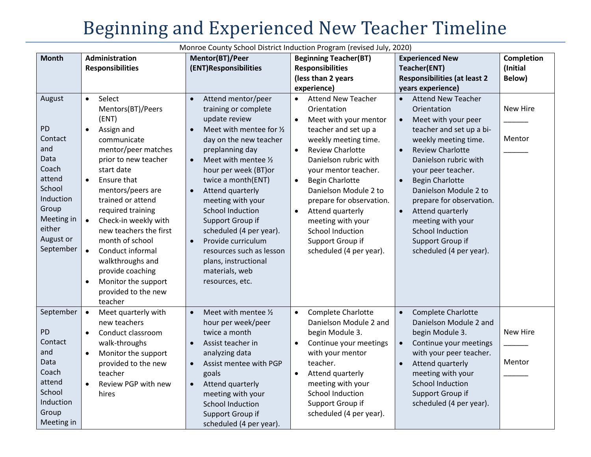Monroe County School District Induction Program (revised July, 2020) **Month Administration Responsibilities Mentor(BT)/Peer (ENT)Responsibilities Beginning Teacher(BT) Responsibilities (less than 2 years experience) Experienced New Teacher(ENT) Responsibilities (at least 2 years experience) Completion (Initial Below)** August PD Contact and Data Coach attend **School** Induction Group Meeting in either August or September Select Mentors(BT)/Peers (ENT) Assign and communicate mentor/peer matches prior to new teacher start date Ensure that mentors/peers are trained or attend required training Check-in weekly with new teachers the first month of school Conduct informal walkthroughs and provide coaching Monitor the support provided to the new teacher • Attend mentor/peer training or complete update review ● Meet with mentee for  $\frac{1}{2}$ day on the new teacher preplanning day  $\bullet$  Meet with mentee  $\frac{1}{2}$ hour per week (BT)or twice a month(ENT) • Attend quarterly meeting with your School Induction Support Group if scheduled (4 per year). • Provide curriculum resources such as lesson plans, instructional materials, web resources, etc. Attend New Teacher Orientation Meet with your mentor teacher and set up a weekly meeting time. • Review Charlotte Danielson rubric with your mentor teacher. • Begin Charlotte Danielson Module 2 to prepare for observation. Attend quarterly meeting with your School Induction Support Group if scheduled (4 per year). Attend New Teacher Orientation Meet with your peer teacher and set up a biweekly meeting time. • Review Charlotte Danielson rubric with your peer teacher. • Begin Charlotte Danielson Module 2 to prepare for observation. • Attend quarterly meeting with your School Induction Support Group if scheduled (4 per year). New Hire  $\overline{\phantom{a}}$ Mentor  $\overline{\phantom{a}}$ September PD Contact and Data Coach attend **School** Induction Group Meeting in Meet quarterly with new teachers • Conduct classroom walk-throughs Monitor the support provided to the new teacher Review PGP with new hires  $\bullet$  Meet with mentee  $\frac{1}{2}$ hour per week/peer twice a month Assist teacher in analyzing data Assist mentee with PGP goals Attend quarterly meeting with your School Induction Support Group if scheduled (4 per year). Complete Charlotte Danielson Module 2 and begin Module 3. Continue your meetings with your mentor teacher. Attend quarterly meeting with your School Induction Support Group if scheduled (4 per year). • Complete Charlotte Danielson Module 2 and begin Module 3. • Continue your meetings with your peer teacher. • Attend quarterly meeting with your School Induction Support Group if scheduled (4 per year). New Hire  $\overline{\phantom{a}}$ Mentor  $\overline{\phantom{a}}$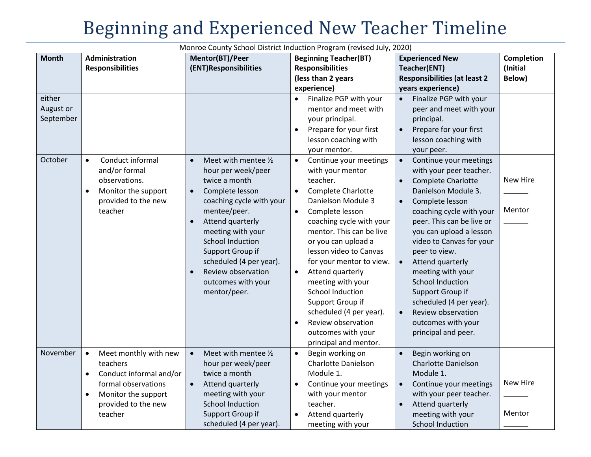Monroe County School District Induction Program (revised July, 2020) **Month Administration Responsibilities Mentor(BT)/Peer (ENT)Responsibilities Beginning Teacher(BT) Responsibilities (less than 2 years experience) Experienced New Teacher(ENT) Responsibilities (at least 2 years experience) Completion (Initial Below)** either August or September Finalize PGP with your mentor and meet with your principal. Prepare for your first lesson coaching with your mentor. Finalize PGP with your peer and meet with your principal. • Prepare for your first lesson coaching with your peer. October **e** Conduct informal and/or formal observations. • Monitor the support provided to the new teacher  $\bullet$  Meet with mentee  $\frac{1}{2}$ hour per week/peer twice a month Complete lesson coaching cycle with your mentee/peer. • Attend quarterly meeting with your School Induction Support Group if scheduled (4 per year). • Review observation outcomes with your mentor/peer. Continue your meetings with your mentor teacher. Complete Charlotte Danielson Module 3 Complete lesson coaching cycle with your mentor. This can be live or you can upload a lesson video to Canvas for your mentor to view. Attend quarterly meeting with your School Induction Support Group if scheduled (4 per year). Review observation outcomes with your principal and mentor. Continue your meetings with your peer teacher. • Complete Charlotte Danielson Module 3. Complete lesson coaching cycle with your peer. This can be live or you can upload a lesson video to Canvas for your peer to view. Attend quarterly meeting with your School Induction Support Group if scheduled (4 per year). Review observation outcomes with your principal and peer. New Hire  $\overline{\phantom{a}}$ Mentor  $\overline{\phantom{a}}$ November  $\bullet$  Meet monthly with new teachers Conduct informal and/or formal observations • Monitor the support provided to the new teacher • Meet with mentee 1/<sub>2</sub> hour per week/peer twice a month Attend quarterly meeting with your School Induction Support Group if scheduled (4 per year). Begin working on Charlotte Danielson Module 1. Continue your meetings with your mentor teacher. Attend quarterly meeting with your • Begin working on Charlotte Danielson Module 1. • Continue your meetings with your peer teacher. • Attend quarterly meeting with your School Induction New Hire  $\overline{\phantom{a}}$ Mentor  $\overline{\phantom{a}}$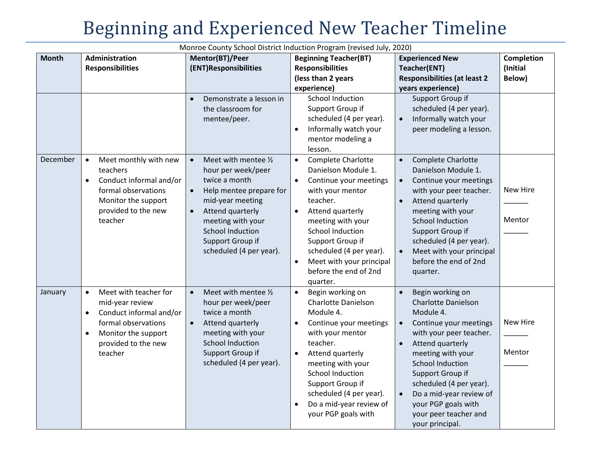| <b>Month</b> | Administration                                                                                                                                                                             | Mentor(BT)/Peer                                                                                                                                                                                                                                                      | <b>Beginning Teacher(BT)</b>                                                                                                                                                                                                                                                                                                                | <b>Experienced New</b>                                                                                                                                                                                                                                                                                                                                                                | <b>Completion</b>  |
|--------------|--------------------------------------------------------------------------------------------------------------------------------------------------------------------------------------------|----------------------------------------------------------------------------------------------------------------------------------------------------------------------------------------------------------------------------------------------------------------------|---------------------------------------------------------------------------------------------------------------------------------------------------------------------------------------------------------------------------------------------------------------------------------------------------------------------------------------------|---------------------------------------------------------------------------------------------------------------------------------------------------------------------------------------------------------------------------------------------------------------------------------------------------------------------------------------------------------------------------------------|--------------------|
|              | <b>Responsibilities</b>                                                                                                                                                                    | (ENT)Responsibilities                                                                                                                                                                                                                                                | <b>Responsibilities</b>                                                                                                                                                                                                                                                                                                                     | Teacher(ENT)                                                                                                                                                                                                                                                                                                                                                                          | (Initial           |
|              |                                                                                                                                                                                            |                                                                                                                                                                                                                                                                      | (less than 2 years                                                                                                                                                                                                                                                                                                                          | <b>Responsibilities (at least 2</b>                                                                                                                                                                                                                                                                                                                                                   | Below)             |
|              |                                                                                                                                                                                            |                                                                                                                                                                                                                                                                      | experience)                                                                                                                                                                                                                                                                                                                                 | years experience)                                                                                                                                                                                                                                                                                                                                                                     |                    |
|              |                                                                                                                                                                                            | Demonstrate a lesson in<br>$\bullet$<br>the classroom for<br>mentee/peer.                                                                                                                                                                                            | School Induction<br>Support Group if<br>scheduled (4 per year).<br>Informally watch your<br>$\bullet$<br>mentor modeling a<br>lesson.                                                                                                                                                                                                       | Support Group if<br>scheduled (4 per year).<br>Informally watch your<br>$\bullet$<br>peer modeling a lesson.                                                                                                                                                                                                                                                                          |                    |
| December     | Meet monthly with new<br>$\bullet$<br>teachers<br>Conduct informal and/or<br>$\bullet$<br>formal observations<br>Monitor the support<br>provided to the new<br>teacher                     | Meet with mentee 1/2<br>$\bullet$<br>hour per week/peer<br>twice a month<br>$\bullet$<br>Help mentee prepare for<br>mid-year meeting<br>Attend quarterly<br>$\bullet$<br>meeting with your<br><b>School Induction</b><br>Support Group if<br>scheduled (4 per year). | Complete Charlotte<br>$\bullet$<br>Danielson Module 1.<br>Continue your meetings<br>$\bullet$<br>with your mentor<br>teacher.<br>Attend quarterly<br>$\bullet$<br>meeting with your<br><b>School Induction</b><br>Support Group if<br>scheduled (4 per year).<br>Meet with your principal<br>$\bullet$<br>before the end of 2nd<br>quarter. | Complete Charlotte<br>$\bullet$<br>Danielson Module 1.<br>Continue your meetings<br>$\bullet$<br>with your peer teacher.<br>Attend quarterly<br>$\bullet$<br>meeting with your<br><b>School Induction</b><br>Support Group if<br>scheduled (4 per year).<br>Meet with your principal<br>$\bullet$<br>before the end of 2nd<br>quarter.                                                | New Hire<br>Mentor |
| January      | Meet with teacher for<br>$\bullet$<br>mid-year review<br>Conduct informal and/or<br>$\bullet$<br>formal observations<br>Monitor the support<br>$\bullet$<br>provided to the new<br>teacher | Meet with mentee 1/2<br>$\bullet$<br>hour per week/peer<br>twice a month<br>Attend quarterly<br>$\bullet$<br>meeting with your<br><b>School Induction</b><br>Support Group if<br>scheduled (4 per year).                                                             | Begin working on<br>$\bullet$<br>Charlotte Danielson<br>Module 4.<br>Continue your meetings<br>$\bullet$<br>with your mentor<br>teacher.<br>Attend quarterly<br>$\bullet$<br>meeting with your<br>School Induction<br>Support Group if<br>scheduled (4 per year).<br>Do a mid-year review of<br>$\bullet$<br>your PGP goals with            | Begin working on<br>$\bullet$<br><b>Charlotte Danielson</b><br>Module 4.<br>Continue your meetings<br>$\bullet$<br>with your peer teacher.<br>Attend quarterly<br>$\bullet$<br>meeting with your<br><b>School Induction</b><br>Support Group if<br>scheduled (4 per year).<br>Do a mid-year review of<br>$\bullet$<br>your PGP goals with<br>your peer teacher and<br>your principal. | New Hire<br>Mentor |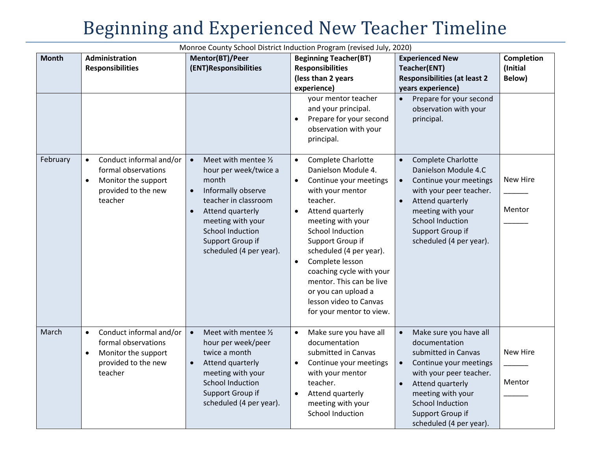| <b>Month</b> | <b>Administration</b>                                                                                                             | Mentor(BT)/Peer                                                                                                                                                                                                                                                | <b>Beginning Teacher(BT)</b>                                                                                                                                                                                                                                                                                                                                                                                                       | <b>Experienced New</b>                                                                                                                                                                                                                                                        | Completion         |
|--------------|-----------------------------------------------------------------------------------------------------------------------------------|----------------------------------------------------------------------------------------------------------------------------------------------------------------------------------------------------------------------------------------------------------------|------------------------------------------------------------------------------------------------------------------------------------------------------------------------------------------------------------------------------------------------------------------------------------------------------------------------------------------------------------------------------------------------------------------------------------|-------------------------------------------------------------------------------------------------------------------------------------------------------------------------------------------------------------------------------------------------------------------------------|--------------------|
|              | <b>Responsibilities</b>                                                                                                           | (ENT)Responsibilities                                                                                                                                                                                                                                          | <b>Responsibilities</b>                                                                                                                                                                                                                                                                                                                                                                                                            | Teacher(ENT)                                                                                                                                                                                                                                                                  | (Initial           |
|              |                                                                                                                                   |                                                                                                                                                                                                                                                                | (less than 2 years                                                                                                                                                                                                                                                                                                                                                                                                                 | <b>Responsibilities (at least 2</b>                                                                                                                                                                                                                                           | Below)             |
|              |                                                                                                                                   |                                                                                                                                                                                                                                                                | experience)                                                                                                                                                                                                                                                                                                                                                                                                                        | years experience)                                                                                                                                                                                                                                                             |                    |
|              |                                                                                                                                   |                                                                                                                                                                                                                                                                | your mentor teacher<br>and your principal.<br>Prepare for your second<br>$\bullet$<br>observation with your<br>principal.                                                                                                                                                                                                                                                                                                          | Prepare for your second<br>$\bullet$<br>observation with your<br>principal.                                                                                                                                                                                                   |                    |
| February     | Conduct informal and/or<br>$\bullet$<br>formal observations<br>Monitor the support<br>$\bullet$<br>provided to the new<br>teacher | Meet with mentee 1/2<br>$\bullet$<br>hour per week/twice a<br>month<br>Informally observe<br>$\bullet$<br>teacher in classroom<br>Attend quarterly<br>$\bullet$<br>meeting with your<br><b>School Induction</b><br>Support Group if<br>scheduled (4 per year). | <b>Complete Charlotte</b><br>$\bullet$<br>Danielson Module 4.<br>Continue your meetings<br>$\bullet$<br>with your mentor<br>teacher.<br>Attend quarterly<br>$\bullet$<br>meeting with your<br>School Induction<br>Support Group if<br>scheduled (4 per year).<br>Complete lesson<br>$\bullet$<br>coaching cycle with your<br>mentor. This can be live<br>or you can upload a<br>lesson video to Canvas<br>for your mentor to view. | Complete Charlotte<br>$\bullet$<br>Danielson Module 4.C<br>Continue your meetings<br>$\bullet$<br>with your peer teacher.<br>Attend quarterly<br>$\bullet$<br>meeting with your<br><b>School Induction</b><br>Support Group if<br>scheduled (4 per year).                     | New Hire<br>Mentor |
| March        | Conduct informal and/or<br>$\bullet$<br>formal observations<br>Monitor the support<br>$\bullet$<br>provided to the new<br>teacher | $\bullet$<br>Meet with mentee 1/2<br>hour per week/peer<br>twice a month<br>Attend quarterly<br>$\bullet$<br>meeting with your<br><b>School Induction</b><br>Support Group if<br>scheduled (4 per year).                                                       | Make sure you have all<br>$\bullet$<br>documentation<br>submitted in Canvas<br>Continue your meetings<br>$\bullet$<br>with your mentor<br>teacher.<br>Attend quarterly<br>$\bullet$<br>meeting with your<br><b>School Induction</b>                                                                                                                                                                                                | Make sure you have all<br>$\bullet$<br>documentation<br>submitted in Canvas<br>Continue your meetings<br>$\bullet$<br>with your peer teacher.<br>Attend quarterly<br>$\bullet$<br>meeting with your<br><b>School Induction</b><br>Support Group if<br>scheduled (4 per year). | New Hire<br>Mentor |